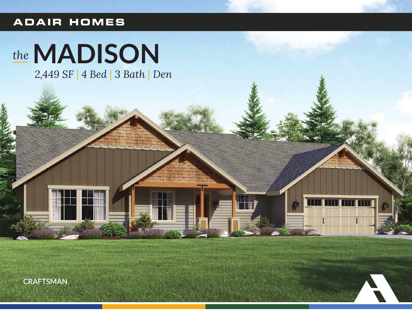#### **ADAIR HOMES**

# the MADISON

2,449 SF | 4 Bed | 3 Bath | Den

**CRAFTSMAN**